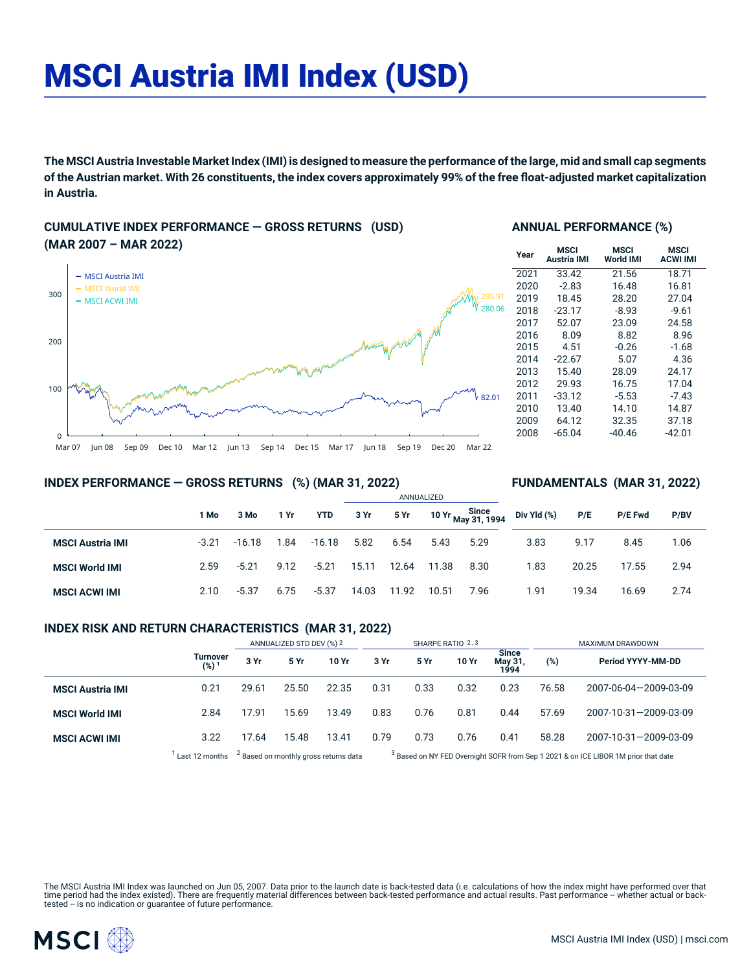# MSCI Austria IMI Index (USD)

The MSCI Austria Investable Market Index (IMI) is designed to measure the performance of the large, mid and small cap segments of the Austrian market. With 26 constituents, the index covers approximately 99% of the free float-adjusted market capitalization **in Austria.**

## **CUMULATIVE INDEX PERFORMANCE — GROSS RETURNS (USD) (MAR 2007 – MAR 2022)**



## **ANNUAL PERFORMANCE (%)**

| Year | <b>MSCI</b><br>Austria IMI | MSCI<br><b>World IMI</b> | MSCI<br><b>ACWI IMI</b> |
|------|----------------------------|--------------------------|-------------------------|
| 2021 | 33.42                      | 21.56                    | 18.71                   |
| 2020 | $-2.83$                    | 16.48                    | 16.81                   |
| 2019 | 18.45                      | 28.20                    | 27.04                   |
| 2018 | $-23.17$                   | $-8.93$                  | $-9.61$                 |
| 2017 | 52.07                      | 23.09                    | 24.58                   |
| 2016 | 8.09                       | 8.82                     | 8.96                    |
| 2015 | 4.51                       | $-0.26$                  | $-1.68$                 |
| 2014 | $-22.67$                   | 5.07                     | 4.36                    |
| 2013 | 15.40                      | 28.09                    | 24.17                   |
| 2012 | 29.93                      | 16.75                    | 17.04                   |
| 2011 | $-33.12$                   | $-5.53$                  | $-7.43$                 |
| 2010 | 13.40                      | 14.10                    | 14.87                   |
| 2009 | 64.12                      | 32.35                    | 37.18                   |
| 2008 | $-65.04$                   | $-40.46$                 | -42.01                  |

**FUNDAMENTALS (MAR 31, 2022)**

## **INDEX PERFORMANCE — GROSS RETURNS (%) (MAR 31, 2022)**

#### ANNUALIZED **1 Mo 3 Mo 1 Yr YTD 3 Yr 5 Yr 10 Yr Since May 31, 1994 MSCI Austria IMI** -3.21 -16.18 1.84 -16.18 5.82 6.54 5.43 5.29 **MSCI World IMI** 2.59 -5.21 9.12 -5.21 15.11 12.64 11.38 8.30 **MSCI ACWI IMI** 2.10 -5.37 6.75 -5.37 14.03 11.92 10.51 7.96 **Div Yld (%) P/E P/E Fwd P/BV** 3.83 9.17 8.45 1.06 1.83 20.25 17.55 2.94 1.91 19.34 16.69 2.74

## **INDEX RISK AND RETURN CHARACTERISTICS (MAR 31, 2022)**

|                         |                              | ANNUALIZED STD DEV (%) 2                         |       | SHARPE RATIO 2,3 |      |                                                                                               |       | MAXIMUM DRAWDOWN                |       |                       |
|-------------------------|------------------------------|--------------------------------------------------|-------|------------------|------|-----------------------------------------------------------------------------------------------|-------|---------------------------------|-------|-----------------------|
|                         | Turnover<br>(%) <sup>1</sup> | 3 Yr                                             | 5 Yr  | 10 Yr            | 3 Yr | 5 Yr                                                                                          | 10 Yr | <b>Since</b><br>May 31,<br>1994 | (%)   | Period YYYY-MM-DD     |
| <b>MSCI Austria IMI</b> | 0.21                         | 29.61                                            | 25.50 | 22.35            | 0.31 | 0.33                                                                                          | 0.32  | 0.23                            | 76.58 | 2007-06-04-2009-03-09 |
| <b>MSCI World IMI</b>   | 2.84                         | 17.91                                            | 15.69 | 13.49            | 0.83 | 0.76                                                                                          | 0.81  | 0.44                            | 57.69 | 2007-10-31-2009-03-09 |
| <b>MSCI ACWI IMI</b>    | 3.22                         | 17.64                                            | 15.48 | 13.41            | 0.79 | 0.73                                                                                          | 0.76  | 0.41                            | 58.28 | 2007-10-31-2009-03-09 |
|                         | Last 12 months               | <sup>2</sup> Based on monthly gross returns data |       |                  |      | <sup>3</sup> Based on NY FED Overnight SOFR from Sep 1 2021 & on ICE LIBOR 1M prior that date |       |                                 |       |                       |

The MSCI Austria IMI Index was launched on Jun 05, 2007. Data prior to the launch date is back-tested data (i.e. calculations of how the index might have performed over that time period had the index existed). There are frequently material differences between back-tested performance and actual results. Past performance – whether actual or back-<br>tested – is no indication or guarantee of future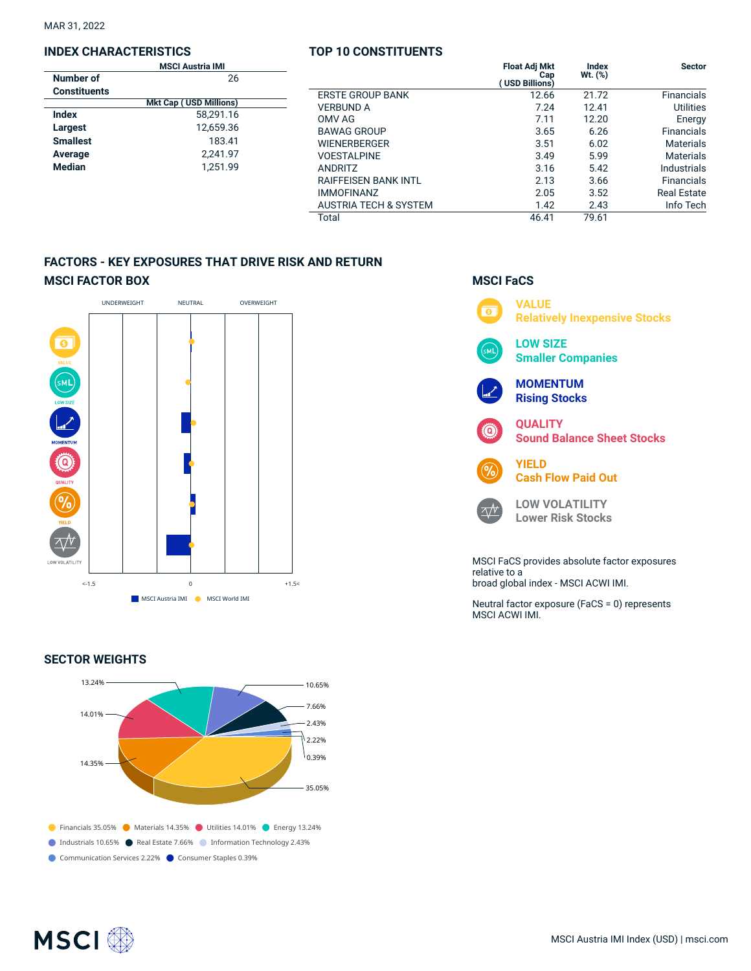MAR 31, 2022

## **INDEX CHARACTERISTICS**

|                     | <b>MSCI Austria IMI</b>                      |                                                                           | <b>Float Adj Mkt</b>         | Index                         | <b>Sector</b>                                  |
|---------------------|----------------------------------------------|---------------------------------------------------------------------------|------------------------------|-------------------------------|------------------------------------------------|
| <b>Number of</b>    | 26                                           |                                                                           | Cap<br>(USD Billions)        | $Wt.$ $(\%)$                  |                                                |
| <b>Constituents</b> |                                              | <b>ERSTE GROUP BANK</b>                                                   | 12.66                        | 21.72                         | Financials                                     |
|                     | <b>Mkt Cap (USD Millions)</b>                | <b>VERBUND A</b>                                                          | 7.24                         | 12.41                         | Utilities                                      |
| <b>Index</b>        | 58.291.16<br>12,659.36<br>183.41<br>2.241.97 | OMV AG<br><b>BAWAG GROUP</b><br><b>WIENERBERGER</b><br><b>VOESTALPINE</b> | 7.11<br>3.65<br>3.51<br>3.49 | 12.20<br>6.26<br>6.02<br>5.99 | Energy<br>Financials<br>Materials<br>Materials |
| Largest             |                                              |                                                                           |                              |                               |                                                |
| <b>Smallest</b>     |                                              |                                                                           |                              |                               |                                                |
| Average             |                                              |                                                                           |                              |                               |                                                |
| <b>Median</b>       | 1.251.99                                     | <b>ANDRITZ</b>                                                            | 3.16                         | 5.42                          | Industrials                                    |
|                     |                                              | <b>RAIFFEISEN BANK INTL</b>                                               | 2.13                         | 3.66                          | Financials                                     |
|                     |                                              | <b>IMMOFINANZ</b>                                                         | 2.05                         | 3.52                          | <b>Real Estate</b>                             |
|                     |                                              | <b>AUSTRIA TECH &amp; SYSTEM</b>                                          | 1.42                         | 2.43                          | Info Tech                                      |
|                     |                                              | Total                                                                     | 46.41                        | 79.61                         |                                                |
|                     |                                              |                                                                           |                              |                               |                                                |

**TOP 10 CONSTITUENTS**

## **FACTORS - KEY EXPOSURES THAT DRIVE RISK AND RETURN MSCI FACTOR BOX**



## **SECTOR WEIGHTS**



## **MSCI FaCS**



broad global index - MSCI ACWI IMI.

Neutral factor exposure (FaCS = 0) represents MSCI ACWI IMI.